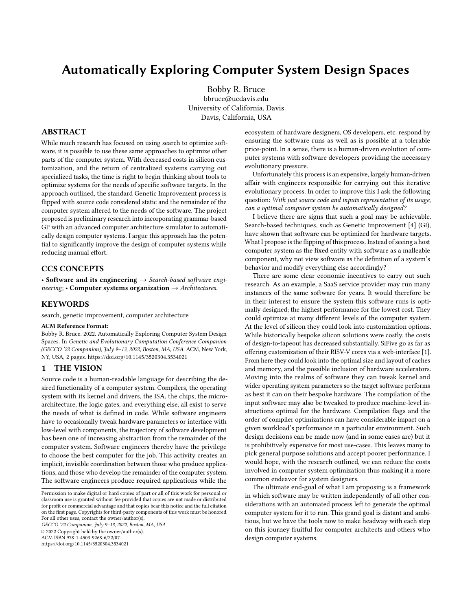# Automatically Exploring Computer System Design Spaces

[Bobby R. Bruce](https://orcid.org/0000-0001-6070-9722) bbruce@ucdavis.edu University of California, Davis Davis, California, USA

# ABSTRACT

While much research has focused on using search to optimize software, it is possible to use these same approaches to optimize other parts of the computer system. With decreased costs in silicon customization, and the return of centralized systems carrying out specialized tasks, the time is right to begin thinking about tools to optimize systems for the needs of specific software targets. In the approach outlined, the standard Genetic Improvement process is flipped with source code considered static and the remainder of the computer system altered to the needs of the software. The project proposed is preliminary research into incorporating grammar-based GP with an advanced computer architecture simulator to automatically design computer systems. I argue this approach has the potential to significantly improve the design of computer systems while reducing manual effort.

## CCS CONCEPTS

• Software and its engineering  $\rightarrow$  Search-based software engineering; • Computer systems organization  $\rightarrow$  Architectures.

#### **KEYWORDS**

search, genetic improvement, computer architecture

#### ACM Reference Format:

Bobby R. Bruce. 2022. Automatically Exploring Computer System Design Spaces. In Genetic and Evolutionary Computation Conference Companion (GECCO '22 Companion), July 9–13, 2022, Boston, MA, USA. ACM, New York, NY, USA, [2](#page-1-0) pages.<https://doi.org/10.1145/3520304.3534021>

## 1 THE VISION

Source code is a human-readable language for describing the desired functionality of a computer system. Compilers, the operating system with its kernel and drivers, the ISA, the chips, the microarchitecture, the logic gates, and everything else, all exist to serve the needs of what is defined in code. While software engineers have to occasionally tweak hardware parameters or interface with low-level with components, the trajectory of software development has been one of increasing abstraction from the remainder of the computer system. Software engineers thereby have the privilege to choose the best computer for the job. This activity creates an implicit, invisible coordination between those who produce applications, and those who develop the remainder of the computer system. The software engineers produce required applications while the

GECCO '22 Companion, July 9–13, 2022, Boston, MA, USA © 2022 Copyright held by the owner/author(s).

ACM ISBN 978-1-4503-9268-6/22/07.

<https://doi.org/10.1145/3520304.3534021>

ecosystem of hardware designers, OS developers, etc. respond by ensuring the software runs as well as is possible at a tolerable price-point. In a sense, there is a human-driven evolution of computer systems with software developers providing the necessary evolutionary pressure.

Unfortunately this process is an expensive, largely human-driven affair with engineers responsible for carrying out this iterative evolutionary process. In order to improve this I ask the following question: With just source code and inputs representative of its usage, can a optimal computer system be automatically designed?

I believe there are signs that such a goal may be achievable. Search-based techniques, such as Genetic Improvement [\[4\]](#page-1-1) (GI), have shown that software can be optimized for hardware targets. What I propose is the flipping of this process. Instead of seeing a host computer system as the fixed entity with software as a malleable component, why not view software as the definition of a system's behavior and modify everything else accordingly?

There are some clear economic incentives to carry out such research. As an example, a SaaS service provider may run many instances of the same software for years. It would therefore be in their interest to ensure the system this software runs is optimally designed; the highest performance for the lowest cost. They could optimize at many different levels of the computer system. At the level of silicon they could look into customization options. While historically bespoke silicon solutions were costly, the costs of design-to-tapeout has decreased substantially. SiFive go as far as offering customization of their RISV-V cores via a web-interface [\[1\]](#page-1-2). From here they could look into the optimal size and layout of caches and memory, and the possible inclusion of hardware accelerators. Moving into the realms of software they can tweak kernel and wider operating system parameters so the target software performs as best it can on their bespoke hardware. The compilation of the input software may also be tweaked to produce machine-level instructions optimal for the hardware. Compilation flags and the order of compiler optimizations can have considerable impact on a given workload's performance in a particular environment. Such design decisions can be made now (and in some cases are) but it is prohibitively expensive for most use-cases. This leaves many to pick general purpose solutions and accept poorer performance. I would hope, with the research outlined, we can reduce the costs involved in computer system optimization thus making it a more common endeavor for system designers.

The ultimate end-goal of what I am proposing is a framework in which software may be written independently of all other considerations with an automated process left to generate the optimal computer system for it to run. This grand goal is distant and ambitious, but we have the tools now to make headway with each step on this journey fruitful for computer architects and others who design computer systems.

Permission to make digital or hard copies of part or all of this work for personal or classroom use is granted without fee provided that copies are not made or distributed for profit or commercial advantage and that copies bear this notice and the full citation on the first page. Copyrights for third-party components of this work must be honored. For all other uses, contact the owner/author(s).